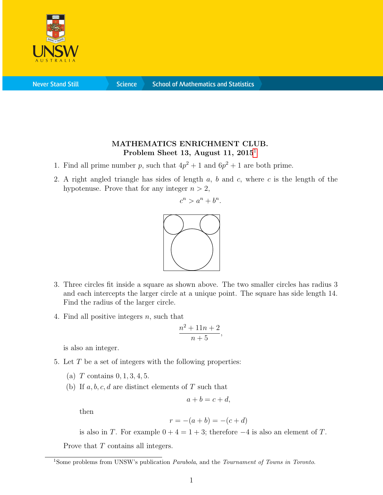

**Never Stand Still** 

**Science** 

## MATHEMATICS ENRICHMENT CLUB. Problem Sheet [1](#page-0-0)3, August 11,  $2015<sup>1</sup>$

- 1. Find all prime number p, such that  $4p^2 + 1$  and  $6p^2 + 1$  are both prime.
- 2. A right angled triangle has sides of length  $a, b$  and  $c$ , where  $c$  is the length of the hypotenuse. Prove that for any integer  $n > 2$ ,



- 3. Three circles fit inside a square as shown above. The two smaller circles has radius 3 and each intercepts the larger circle at a unique point. The square has side length 14. Find the radius of the larger circle.
- 4. Find all positive integers  $n$ , such that

$$
\frac{n^2+11n+2}{n+5},
$$

is also an integer.

- 5. Let  $T$  be a set of integers with the following properties:
	- (a) T contains  $0, 1, 3, 4, 5$ .
	- (b) If  $a, b, c, d$  are distinct elements of T such that

$$
a + b = c + d,
$$

then

$$
r = -(a+b) = -(c+d)
$$

is also in T. For example  $0 + 4 = 1 + 3$ ; therefore  $-4$  is also an element of T.

Prove that  $T$  contains all integers.

<span id="page-0-0"></span><sup>&</sup>lt;sup>1</sup>Some problems from UNSW's publication *Parabola*, and the *Tournament of Towns in Toronto*.